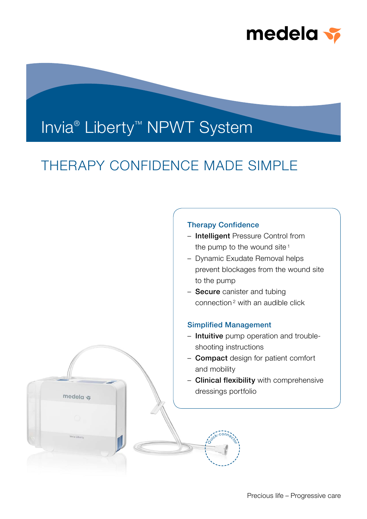

# Invia<sup>®</sup> Liberty<sup>™</sup> NPWT System

medela s

## THERAPY CONFIDENCE MADE SIMPLE

## Therapy Confidence

- Intelligent Pressure Control from the pump to the wound site<sup>1</sup>
- Dynamic Exudate Removal helps prevent blockages from the wound site to the pump
- Secure canister and tubing connection 2 with an audible click

### Simplified Management

Quick-connector

- Intuitive pump operation and troubleshooting instructions
- **Compact** design for patient comfort and mobility
- Clinical flexibility with comprehensive dressings portfolio

Precious life – Progressive care